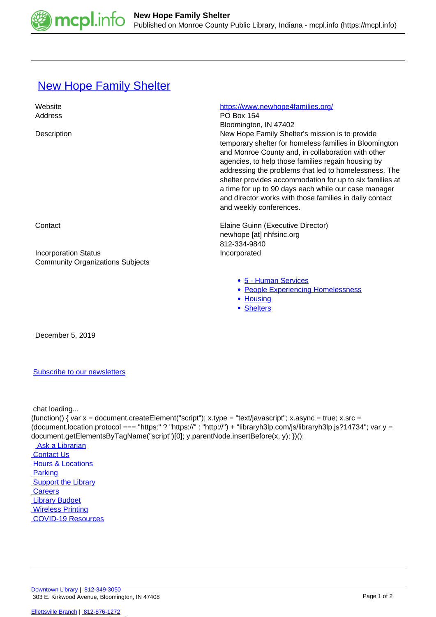

## **[New Hope Family Shelter](https://mcpl.info/commorg/new-hope-family-shelter)**

| Website<br>Address                      | https://www.newhope4families.org/<br><b>PO Box 154</b>                                                                                                                                                                                                                                                                                                                                                                                                                                                            |
|-----------------------------------------|-------------------------------------------------------------------------------------------------------------------------------------------------------------------------------------------------------------------------------------------------------------------------------------------------------------------------------------------------------------------------------------------------------------------------------------------------------------------------------------------------------------------|
| Description                             | Bloomington, IN 47402<br>New Hope Family Shelter's mission is to provide<br>temporary shelter for homeless families in Bloomington<br>and Monroe County and, in collaboration with other<br>agencies, to help those families regain housing by<br>addressing the problems that led to homelessness. The<br>shelter provides accommodation for up to six families at<br>a time for up to 90 days each while our case manager<br>and director works with those families in daily contact<br>and weekly conferences. |
| Contact                                 | Elaine Guinn (Executive Director)<br>newhope [at] nhfsinc.org                                                                                                                                                                                                                                                                                                                                                                                                                                                     |
| <b>Incorporation Status</b>             | 812-334-9840<br>Incorporated                                                                                                                                                                                                                                                                                                                                                                                                                                                                                      |
| <b>Community Organizations Subjects</b> |                                                                                                                                                                                                                                                                                                                                                                                                                                                                                                                   |
|                                         | • 5 - Human Services<br>• People Experiencing Homelessness<br>• Housing<br><b>Shelters</b>                                                                                                                                                                                                                                                                                                                                                                                                                        |

December 5, 2019

## [Subscribe to our newsletters](https://mcpl.info/geninfo/subscribe-think-library-newsletter)

chat loading...

(function() { var  $x =$  document.createElement("script");  $x.$ type = "text/javascript";  $x.$ async = true;  $x.$ src = (document.location.protocol === "https:" ? "https://" : "http://") + "libraryh3lp.com/js/libraryh3lp.js?14734"; var y = document.getElementsByTagName("script")[0]; y.parentNode.insertBefore(x, y); })(); Ask a Librarian  [Contact Us](https://mcpl.info/geninfo/contact-us) **Hours & Locations** 

 [Parking](https://mcpl.info/parking?utm_source=footer&utm_medium=links&utm_campaign=parking) **Support the Library Careers**  [Library Budget](https://budgetnotices.in.gov/unit_lookup.aspx?ct=53000)  [Wireless Printing](https://tbs.eprintit.com/portal/#/ppl/upload/monroecpl)  [COVID-19 Resources](https://mcpl.info/geninfo/local-covid-resources)